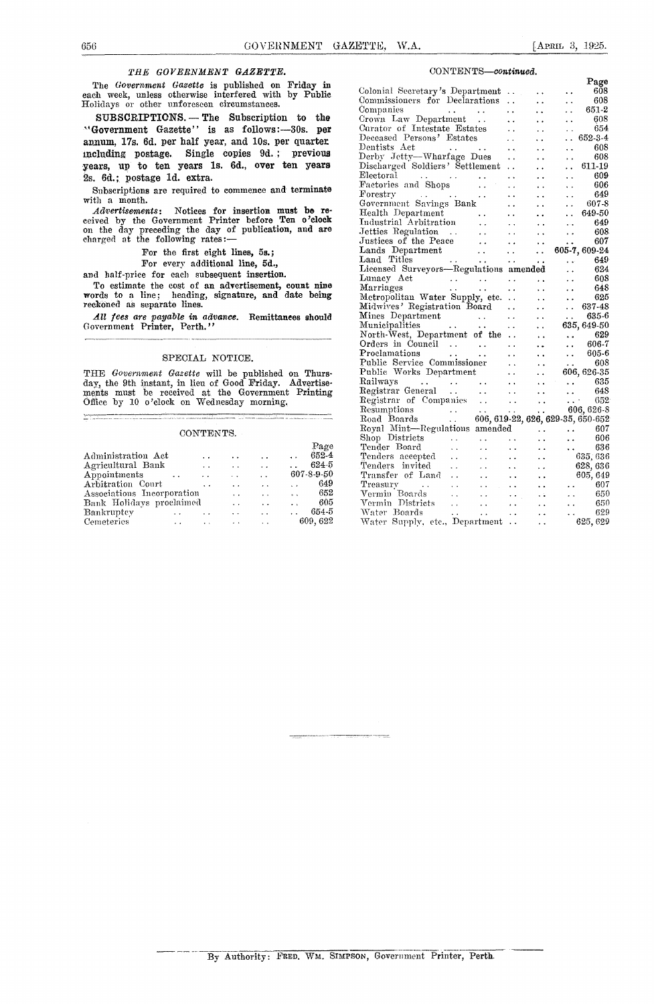#### *TEE GOVERNMENT GAZETTE.*

The *Government Gazette is* published on Friday **in** each week, unless otherwise interfered with by Public Holidays or other unforeseen circumstances.

SUBSCRIPTIONS. - The Subscription to the "Government Gazette" is as follows:-30s. per annum, 17s. 6d. per half year, and 10s. per quarter including postage. Single copies 9d. ; previous years, u<sup>p</sup> to ten years **is. 6d., over** ten years 2s. 6d.; postage **ld. extra.**

Subscriptions are required to commence and terminate with a month.

Advertisements: Notices for insertion must be received by the Government Printer before Ten o'clock on the day preceding the day of publication, and are charged at the following rates:

For the first eight lines, 5s.;

For every additional line, 5d.,

and half-price for each subsequent insertion.

To estimate the cost of an advertisement, count nine words to a line; heading, signature, and date being reckoned as separate lines.

All fees are payable in advance. Remittances should Government Printer, Perth."

#### SPECIAL NOTICE.

THE *Government Gazette will* be published on Thursday, the 9th instant, in lieu of Good Friday. Advertise-ments must be received at the Government Printing Office by 10 o'clock on Wednesday morning.

#### CONTENTS.

| Office by 10 o'clock on Wednesday morning.<br><u>s para a componente de construir a construir a componente de la para a componente de la componente de la para<br/>La componente de la para a componente de la componente de la componente de la componente de la componente de l</u> | <u> The Common State Common State Common State Common State Common State Common State Common State Common State Common State Common State Common State Common State Common State Common State Common State Common State Common S</u> |                      |                      |                     |
|---------------------------------------------------------------------------------------------------------------------------------------------------------------------------------------------------------------------------------------------------------------------------------------|--------------------------------------------------------------------------------------------------------------------------------------------------------------------------------------------------------------------------------------|----------------------|----------------------|---------------------|
|                                                                                                                                                                                                                                                                                       | CONTENTS.                                                                                                                                                                                                                            |                      |                      |                     |
|                                                                                                                                                                                                                                                                                       |                                                                                                                                                                                                                                      |                      |                      | Page                |
| Administration Act                                                                                                                                                                                                                                                                    |                                                                                                                                                                                                                                      |                      | <b>Contract</b>      | 652-4               |
| Agricultural Bank                                                                                                                                                                                                                                                                     | $\cdots$                                                                                                                                                                                                                             | $\ddot{\phantom{0}}$ | $\ddot{\phantom{a}}$ | $624 - 5$           |
| Appointments                                                                                                                                                                                                                                                                          | $\sim$ $\sim$ $\sim$                                                                                                                                                                                                                 |                      | $\ddot{\phantom{0}}$ | 607-8-9-50          |
| Arbitration Court                                                                                                                                                                                                                                                                     | $\ddot{\phantom{a}}$                                                                                                                                                                                                                 | $\ddot{\phantom{a}}$ | $\ddot{\phantom{a}}$ | 649<br>$\mathbf{r}$ |
| Associations Incorporation                                                                                                                                                                                                                                                            |                                                                                                                                                                                                                                      | . .                  |                      | 652<br>and the con- |
| Bank Holidays proclaimed                                                                                                                                                                                                                                                              |                                                                                                                                                                                                                                      | $\ddot{\phantom{0}}$ | $\sim$ $\sim$        | 605<br>$\sim$       |
| Bankruptey<br>$\ddot{\phantom{0}}$                                                                                                                                                                                                                                                    |                                                                                                                                                                                                                                      | $\sim$               | $\ddot{\phantom{a}}$ | $\ldots$ 654-5      |
| Cemeteries<br>$\ddot{\phantom{0}}$                                                                                                                                                                                                                                                    |                                                                                                                                                                                                                                      | $\ddot{\phantom{0}}$ | $\ddot{\phantom{0}}$ | 609, 622            |

#### CONTENTS—continued.

|                                                                                                                                                                                                                                                                                                                                               |                            |                                              |                      | Page                                           |
|-----------------------------------------------------------------------------------------------------------------------------------------------------------------------------------------------------------------------------------------------------------------------------------------------------------------------------------------------|----------------------------|----------------------------------------------|----------------------|------------------------------------------------|
| Colonial Secretary's Department                                                                                                                                                                                                                                                                                                               | . .                        |                                              | $\ddot{\phantom{0}}$ | 608                                            |
| Commissioners for Declarations                                                                                                                                                                                                                                                                                                                | $\ddot{\phantom{0}}$       |                                              | . .                  | 608                                            |
| Companies<br>$\sim$ $\sim$                                                                                                                                                                                                                                                                                                                    | . .                        | . .                                          |                      | 651-2                                          |
| Crown Law Department                                                                                                                                                                                                                                                                                                                          | . .                        | . .                                          | . .                  | 608                                            |
| Curator of Intestate Estates                                                                                                                                                                                                                                                                                                                  |                            | . .                                          | $\ddot{\phantom{1}}$ | 654                                            |
| Deceased Persons' Estates                                                                                                                                                                                                                                                                                                                     |                            | . .                                          | . .                  | 652-3-4                                        |
| Dentists Act<br><b>Service Control</b>                                                                                                                                                                                                                                                                                                        |                            | $\ddot{\phantom{0}}$                         | . .                  | 608                                            |
| Derby Jetty-Wharfage Dues                                                                                                                                                                                                                                                                                                                     | . .                        | . .                                          | . .                  | 608                                            |
| Discharged Soldiers' Settlement                                                                                                                                                                                                                                                                                                               | . .                        |                                              |                      | 611-19                                         |
| Electoral                                                                                                                                                                                                                                                                                                                                     |                            | . .                                          | . .                  | 609                                            |
| Electoral<br>Factories and Shops<br>$\ddot{\phantom{0}}$                                                                                                                                                                                                                                                                                      |                            | . .                                          | . .                  | 606                                            |
| Forestry<br>. .                                                                                                                                                                                                                                                                                                                               |                            | $\ddot{\phantom{0}}$                         | . .                  | 649                                            |
| Government Savings Bank                                                                                                                                                                                                                                                                                                                       |                            | . .                                          | . .                  | - 607-8                                        |
| Health Department<br>$\sim$ $\sim$                                                                                                                                                                                                                                                                                                            |                            | . .                                          |                      | 649-50                                         |
| Industrial Arbitration<br>. .                                                                                                                                                                                                                                                                                                                 |                            | . .                                          | $\ddotsc$            | 649                                            |
| Jetties Regulation<br>$\ddot{\phantom{a}}$                                                                                                                                                                                                                                                                                                    |                            | . .                                          | . .                  | 608                                            |
| Justices of the Peace<br>$\ddotsc$                                                                                                                                                                                                                                                                                                            | . .                        | . .                                          | . .                  | 607                                            |
| Lands Department<br>$\ddotsc$                                                                                                                                                                                                                                                                                                                 | $\ddot{\phantom{0}}$       | $\ddot{\phantom{0}}$                         |                      | 605-7, 609-24                                  |
| Land Titles<br>$\ddot{\phantom{a}}$                                                                                                                                                                                                                                                                                                           |                            |                                              |                      | 649                                            |
| Land Titles<br>Licensed Surveyors—Regulations amended                                                                                                                                                                                                                                                                                         |                            |                                              |                      | 624                                            |
| Lunacy Act                                                                                                                                                                                                                                                                                                                                    | i,                         | $\ddot{\phantom{a}}$                         | $\ddot{\phantom{0}}$ | 608                                            |
| $\begin{array}{ccc} 1 & 1 & 1 & 1 \\ 1 & 1 & 1 & 1 \\ 1 & 1 & 1 & 1 \\ 1 & 1 & 1 & 1 \\ 1 & 1 & 1 & 1 \\ 1 & 1 & 1 & 1 \\ 1 & 1 & 1 & 1 \\ 1 & 1 & 1 & 1 \\ 1 & 1 & 1 & 1 \\ 1 & 1 & 1 & 1 \\ 1 & 1 & 1 & 1 \\ 1 & 1 & 1 & 1 \\ 1 & 1 & 1 & 1 & 1 \\ 1 & 1 & 1 & 1 & 1 \\ 1 & 1 & 1 & 1 & 1 \\ 1 & 1 & 1 & 1 & 1 \\ 1 & 1 & 1 &$<br>Marriages | . .                        | . .                                          | $\ddot{\phantom{0}}$ | 648                                            |
| Metropolitan Water Supply, etc.                                                                                                                                                                                                                                                                                                               |                            | $\ddot{\phantom{0}}$                         | $\ddot{\phantom{0}}$ | 625                                            |
| Midwives' Registration Board                                                                                                                                                                                                                                                                                                                  |                            | . .                                          | . .                  | 637-48                                         |
| Mines Department                                                                                                                                                                                                                                                                                                                              | . .                        | $\ddot{\phantom{1}}$                         | $\cdots$             | 635-6                                          |
| $\begin{matrix} \text{ent} & & \dots & \ \dots & & \dots \end{matrix}$<br>Municipalities                                                                                                                                                                                                                                                      |                            | . .                                          |                      | 635, 649-50                                    |
| North-West, Department of the                                                                                                                                                                                                                                                                                                                 |                            | $\ddot{\phantom{0}}$                         |                      | 629                                            |
| Orders in Council                                                                                                                                                                                                                                                                                                                             | . .                        | . .                                          |                      | 606-7                                          |
| Proclamations<br>$\ddot{\phantom{0}}$                                                                                                                                                                                                                                                                                                         | . .                        |                                              | $\ddot{\phantom{0}}$ | 605-6                                          |
| Public Service Commissioner                                                                                                                                                                                                                                                                                                                   | i.                         | $\ddot{\phantom{1}}$<br>$\ddot{\phantom{0}}$ | $\ddotsc$            | 608                                            |
| Public Works Department                                                                                                                                                                                                                                                                                                                       | . .                        | $\ddot{\phantom{a}}$                         |                      | 606, 626-35                                    |
|                                                                                                                                                                                                                                                                                                                                               | $\ddot{\phantom{0}}$       |                                              |                      | 635                                            |
| Railways<br>Registrar General<br>$\sim 100$ km s $^{-1}$                                                                                                                                                                                                                                                                                      |                            | i.                                           |                      | 648                                            |
| $\sim$ $\sim$                                                                                                                                                                                                                                                                                                                                 | à.<br>$\ddot{\phantom{0}}$ | $\ddot{\phantom{0}}$                         | $\ddot{\phantom{a}}$ | 652<br>$\mathcal{L}(\mathcal{L}^{\text{max}})$ |
| Registrar of Companies                                                                                                                                                                                                                                                                                                                        |                            |                                              |                      | 606, 626-8                                     |
| Resumptions<br>Road Boards<br>Results Inc.                                                                                                                                                                                                                                                                                                    | $\ddotsc$                  | $\ddot{\phantom{0}}$                         |                      | 606, 619-22, 626, 629-35, 650-652              |
| Royal Mint-Regulations amended                                                                                                                                                                                                                                                                                                                |                            |                                              |                      |                                                |
| Shop Districts                                                                                                                                                                                                                                                                                                                                |                            |                                              |                      | - 607<br>$\cdots$<br>606                       |
| $\ddot{\phantom{a}}$ .<br>$\ddot{\phantom{0}}$<br>Tender Board                                                                                                                                                                                                                                                                                | $\ddot{\phantom{1}}$ .     |                                              | $\ddot{\phantom{0}}$ | 636                                            |
| $\ddot{\phantom{0}}$<br>. .                                                                                                                                                                                                                                                                                                                   | $\ddot{\phantom{0}}$       |                                              | $\ddotsc$            |                                                |
| Tenders accepted<br>$\ddotsc$<br>$\ddot{\phantom{0}}$                                                                                                                                                                                                                                                                                         | $\ddot{\phantom{0}}$       |                                              |                      | 635,636                                        |
| Tenders invited<br>Ω.<br>. .                                                                                                                                                                                                                                                                                                                  | $\ddot{\phantom{0}}$       |                                              |                      | 628, 636                                       |
| Transfer of Land<br>$\ddot{\phantom{0}}$<br>г.                                                                                                                                                                                                                                                                                                | . .                        |                                              |                      | 605, 649                                       |
| Treasury<br>$\ddot{\phantom{0}}$<br>$\ddot{\phantom{0}}$<br>$\mathcal{L}_{\mathcal{L}}$                                                                                                                                                                                                                                                       |                            |                                              |                      | - 607                                          |
| Vermin Boards<br>i.                                                                                                                                                                                                                                                                                                                           | . .                        |                                              |                      | 650                                            |
| Vermin Districts<br>Vermin Districts<br>$\ddot{\phantom{0}}$<br>$\sim$ $\sim$                                                                                                                                                                                                                                                                 | $\ddot{\phantom{0}}$       |                                              |                      | -650                                           |
| Water Boards<br>$\ddot{\phantom{0}}$<br>$\sim$ $\sim$<br>water Boards<br>Water Supply, etc., Department                                                                                                                                                                                                                                       | $\sim$ .                   |                                              |                      | 629                                            |
|                                                                                                                                                                                                                                                                                                                                               | $\ddot{\phantom{a}}$       |                                              |                      | 625, 629                                       |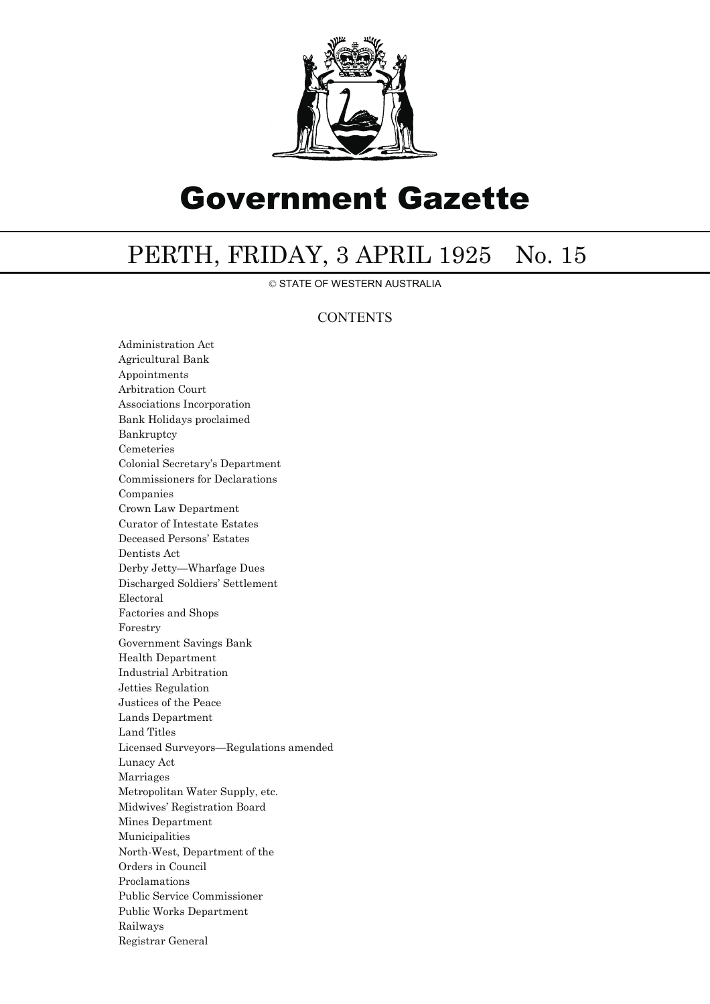

# Government Gazette

## PERTH, FRIDAY, 3 APRIL 1925 No. 15

© STATE OF WESTERN AUSTRALIA

### **CONTENTS**

Administration Act Agricultural Bank Appointments Arbitration Court Associations Incorporation Bank Holidays proclaimed Bankruptcy Cemeteries Colonial Secretary's Department Commissioners for Declarations Companies Crown Law Department Curator of Intestate Estates Deceased Persons' Estates Dentists Act Derby Jetty—Wharfage Dues Discharged Soldiers' Settlement Electoral Factories and Shops Forestry Government Savings Bank Health Department Industrial Arbitration Jetties Regulation Justices of the Peace Lands Department Land Titles Licensed Surveyors—Regulations amended Lunacy Act Marriages Metropolitan Water Supply, etc. Midwives' Registration Board Mines Department Municipalities North-West, Department of the Orders in Council Proclamations Public Service Commissioner Public Works Department Railways Registrar General